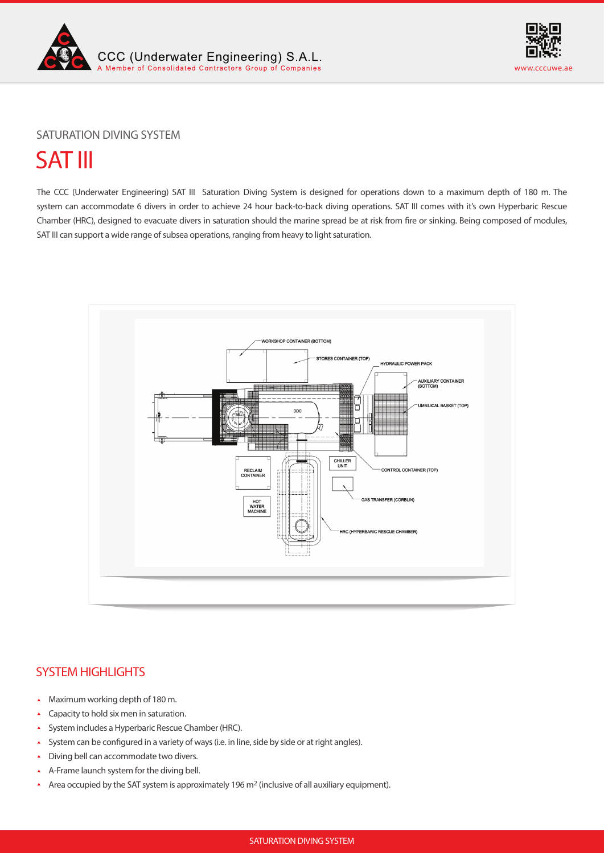



## SATURATION DIVING SYSTEM

# SAT III

The CCC (Underwater Engineering) SAT III Saturation Diving System is designed for operations down to a maximum depth of 180 m. The system can accommodate 6 divers in order to achieve 24 hour back-to-back diving operations. SAT III comes with it's own Hyperbaric Rescue Chamber (HRC), designed to evacuate divers in saturation should the marine spread be at risk from fire or sinking. Being composed of modules, SAT III can support a wide range of subsea operations, ranging from heavy to light saturation.



# SYSTEM HIGHLIGHTS

- Maximum working depth of 180 m.  $\Delta$
- Capacity to hold six men in saturation. Ă
- System includes a Hyperbaric Rescue Chamber (HRC).  $\hat{\mathbf{A}}$
- $\blacktriangle$ System can be configured in a variety of ways (i.e. in line, side by side or at right angles).
- Diving bell can accommodate two divers.  $\blacktriangle$
- A-Frame launch system for the diving bell.
- Area occupied by the SAT system is approximately 196 m<sup>2</sup> (inclusive of all auxiliary equipment).  $\blacktriangle$